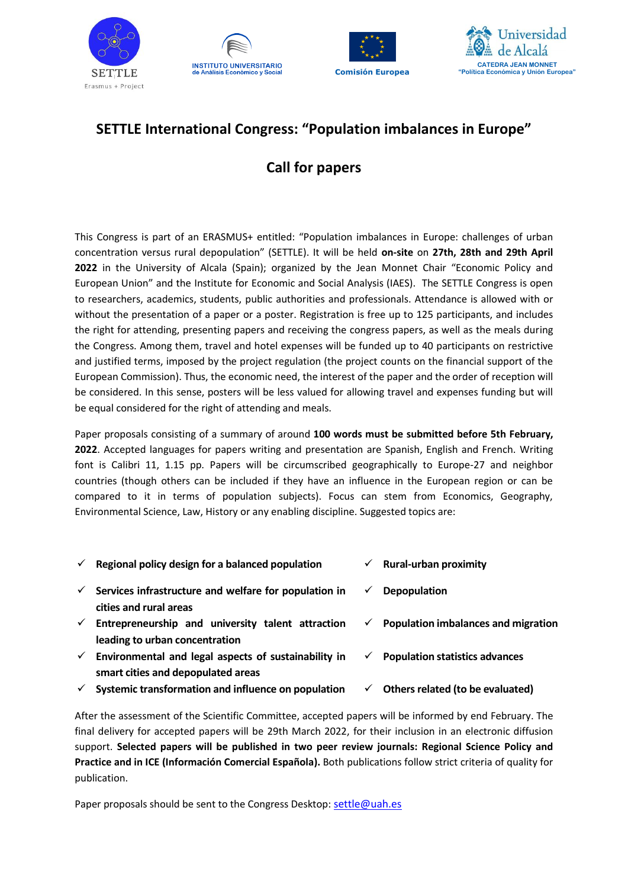







## **SETTLE International Congress: "Population imbalances in Europe"**

# **Call for papers**

This Congress is part of an ERASMUS+ entitled: "Population imbalances in Europe: challenges of urban concentration versus rural depopulation" (SETTLE). It will be held **on-site** on **27th, 28th and 29th April 2022** in the University of Alcala (Spain); organized by the Jean Monnet Chair "Economic Policy and European Union" and the Institute for Economic and Social Analysis (IAES). The SETTLE Congress is open to researchers, academics, students, public authorities and professionals. Attendance is allowed with or without the presentation of a paper or a poster. Registration is free up to 125 participants, and includes the right for attending, presenting papers and receiving the congress papers, as well as the meals during the Congress. Among them, travel and hotel expenses will be funded up to 40 participants on restrictive and justified terms, imposed by the project regulation (the project counts on the financial support of the European Commission). Thus, the economic need, the interest of the paper and the order of reception will be considered. In this sense, posters will be less valued for allowing travel and expenses funding but will be equal considered for the right of attending and meals.

Paper proposals consisting of a summary of around **100 words must be submitted before 5th February, 2022**. Accepted languages for papers writing and presentation are Spanish, English and French. Writing font is Calibri 11, 1.15 pp. Papers will be circumscribed geographically to Europe-27 and neighbor countries (though others can be included if they have an influence in the European region or can be compared to it in terms of population subjects). Focus can stem from Economics, Geography, Environmental Science, Law, History or any enabling discipline. Suggested topics are:

| $\checkmark$ | Regional policy design for a balanced population                                           | ✓            | <b>Rural-urban proximity</b>               |
|--------------|--------------------------------------------------------------------------------------------|--------------|--------------------------------------------|
| $\checkmark$ | Services infrastructure and welfare for population in<br>cities and rural areas            | $\checkmark$ | <b>Depopulation</b>                        |
| $\checkmark$ | Entrepreneurship and university talent attraction<br>leading to urban concentration        | $\checkmark$ | <b>Population imbalances and migration</b> |
| $\checkmark$ | Environmental and legal aspects of sustainability in<br>smart cities and depopulated areas | $\checkmark$ | <b>Population statistics advances</b>      |
| $\checkmark$ | Systemic transformation and influence on population                                        | $\checkmark$ | Others related (to be evaluated)           |

After the assessment of the Scientific Committee, accepted papers will be informed by end February. The final delivery for accepted papers will be 29th March 2022, for their inclusion in an electronic diffusion support. **Selected papers will be published in two peer review journals: Regional Science Policy and Practice and in ICE (Información Comercial Española).** Both publications follow strict criteria of quality for publication.

Paper proposals should be sent to the Congress Desktop: [settle@uah.es](mailto:settle@uah.es)